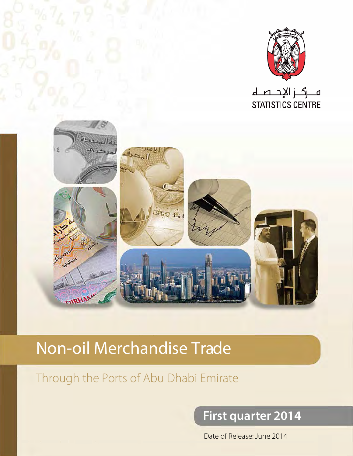

ہ رگ زالإحــصــاء **STATISTICS CENTRE** 



# Non-oil Merchandise Trade

## Through the Ports of Abu Dhabi Emirate

## **First quarter 2014**

1 Emirate Dhabi Abu Ports the hrough Ports the hrough rade Merchandise oil Merchandise oil Merchandise oil Mer<br>None man and Merchandise oil-None man and Merchandise oil Merchandise oil Mer oil-None man and Merchandise oil Date of Release: June 2014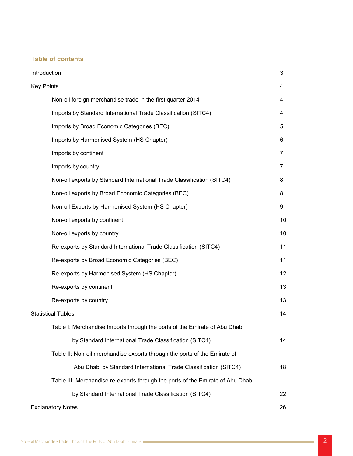#### **Table of contents**

| Introduction                                                                    | 3              |
|---------------------------------------------------------------------------------|----------------|
| <b>Key Points</b>                                                               | 4              |
| Non-oil foreign merchandise trade in the first quarter 2014                     | 4              |
| Imports by Standard International Trade Classification (SITC4)                  | $\overline{4}$ |
| Imports by Broad Economic Categories (BEC)                                      | 5              |
| Imports by Harmonised System (HS Chapter)                                       | 6              |
| Imports by continent                                                            | $\overline{7}$ |
| Imports by country                                                              | 7              |
| Non-oil exports by Standard International Trade Classification (SITC4)          | 8              |
| Non-oil exports by Broad Economic Categories (BEC)                              | 8              |
| Non-oil Exports by Harmonised System (HS Chapter)                               | 9              |
| Non-oil exports by continent                                                    | 10             |
| Non-oil exports by country                                                      | 10             |
| Re-exports by Standard International Trade Classification (SITC4)               | 11             |
| Re-exports by Broad Economic Categories (BEC)                                   | 11             |
| Re-exports by Harmonised System (HS Chapter)                                    | 12             |
| Re-exports by continent                                                         | 13             |
| Re-exports by country                                                           | 13             |
| <b>Statistical Tables</b>                                                       | 14             |
| Table I: Merchandise Imports through the ports of the Emirate of Abu Dhabi      |                |
| by Standard International Trade Classification (SITC4)                          | 14             |
| Table II: Non-oil merchandise exports through the ports of the Emirate of       |                |
| Abu Dhabi by Standard International Trade Classification (SITC4)                | 18             |
| Table III: Merchandise re-exports through the ports of the Emirate of Abu Dhabi |                |
| by Standard International Trade Classification (SITC4)                          | 22             |
| <b>Explanatory Notes</b>                                                        | 26             |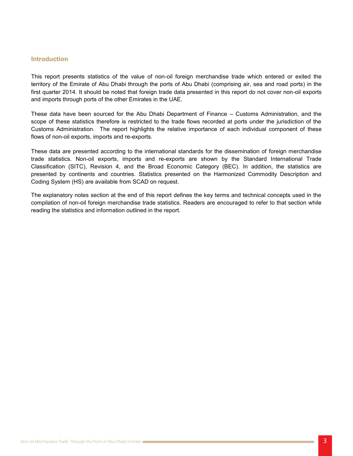#### **Introduction**

This report presents statistics of the value of non-oil foreign merchandise trade which entered or exited the territory of the Emirate of Abu Dhabi through the ports of Abu Dhabi (comprising air, sea and road ports) in the first quarter 2014. It should be noted that foreign trade data presented in this report do not cover non-oil exports and imports through ports of the other Emirates in the UAE.

These data have been sourced for the Abu Dhabi Department of Finance – Customs Administration, and the scope of these statistics therefore is restricted to the trade flows recorded at ports under the jurisdiction of the Customs Administration. The report highlights the relative importance of each individual component of these flows of non-oil exports, imports and re-exports.

These data are presented according to the international standards for the dissemination of foreign merchandise trade statistics. Non-oil exports, imports and re-exports are shown by the Standard International Trade Classification (SITC), Revision 4, and the Broad Economic Category (BEC). In addition, the statistics are presented by continents and countries. Statistics presented on the Harmonized Commodity Description and Coding System (HS) are available from SCAD on request.

The explanatory notes section at the end of this report defines the key terms and technical concepts used in the compilation of non-oil foreign merchandise trade statistics. Readers are encouraged to refer to that section while reading the statistics and information outlined in the report.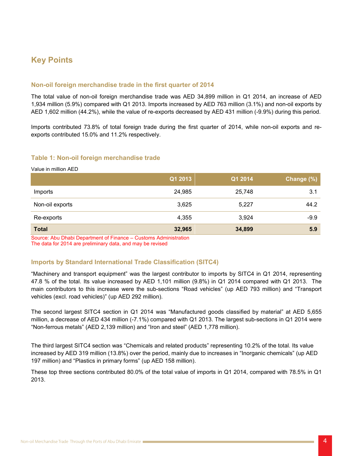## **Key Points**

#### **Non-oil foreign merchandise trade in the first quarter of 2014**

The total value of non-oil foreign merchandise trade was AED 34,899 million in Q1 2014, an increase of AED 1,934 million (5.9%) compared with Q1 2013. Imports increased by AED 763 million (3.1%) and non-oil exports by AED 1,602 million (44.2%), while the value of re-exports decreased by AED 431 million (-9.9%) during this period.

Imports contributed 73.8% of total foreign trade during the first quarter of 2014, while non-oil exports and re-<br>exports contributed 15.0% and 11.2% respectively.

#### **Table 1: Non-oil foreign merchandise trade**

Value in million AED

|                 | Q1 2013 | Q1 2014 | Change (%) |
|-----------------|---------|---------|------------|
| Imports         | 24,985  | 25,748  | 3.1        |
| Non-oil exports | 3,625   | 5,227   | 44.2       |
| Re-exports      | 4,355   | 3,924   | $-9.9$     |
| <b>Total</b>    | 32,965  | 34,899  | 5.9        |

Source: Abu Dhabi Department of Finance - Customs Administration The data for 2014 are preliminary data, and may be revised

#### **Imports by Standard International Trade Classification (SITC4)**

"Machinery and transport equipment" was the largest contributor to imports by SITC4 in Q1 2014, representing 47.8 % of the total. Its value increased by AED 1,101 million (9.8%) in Q1 2014 compared with Q1 2013. The main contributors to this increase were the sub-sections "Road vehicles" (up AED 793 million) and "Transport vehicles (excl. road vehicles)" (up AED 292 million).

The second largest SITC4 section in Q1 2014 was "Manufactured goods classified by material" at AED 5,655 million, a decrease of AED 434 million (-7.1%) compared with Q1 2013. The largest sub-sections in Q1 2014 were "Non-ferrous metals" (AED 2,139 million) and "Iron and steel" (AED 1,778 million).

The third largest SITC4 section was "Chemicals and related products" representing 10.2% of the total. Its value increased by AED 319 million (13.8%) over the period, mainly due to increases in "Inorganic chemicals" (up AED 197 million) and "Plastics in primary forms" (up AED 158 million).

These top three sections contributed 80.0% of the total value of imports in Q1 2014, compared with 78.5% in Q1 2013.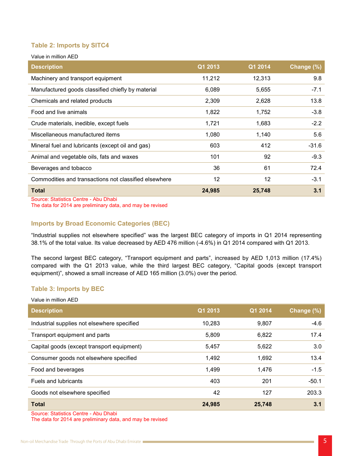#### **Table 2: Imports by SITC4**

Value in million AED

| <b>Description</b>                                    | Q1 2013 | Q1 2014 | Change (%) |
|-------------------------------------------------------|---------|---------|------------|
| Machinery and transport equipment                     | 11,212  | 12,313  | 9.8        |
| Manufactured goods classified chiefly by material     | 6,089   | 5,655   | $-7.1$     |
| Chemicals and related products                        | 2,309   | 2,628   | 13.8       |
| Food and live animals                                 | 1,822   | 1,752   | $-3.8$     |
| Crude materials, inedible, except fuels               | 1,721   | 1,683   | $-2.2$     |
| Miscellaneous manufactured items                      | 1,080   | 1,140   | 5.6        |
| Mineral fuel and lubricants (except oil and gas)      | 603     | 412     | $-31.6$    |
| Animal and vegetable oils, fats and waxes             | 101     | 92      | $-9.3$     |
| Beverages and tobacco                                 | 36      | 61      | 72.4       |
| Commodities and transactions not classified elsewhere | 12      | 12      | $-3.1$     |
| <b>Total</b>                                          | 24,985  | 25,748  | 3.1        |

Source: Statistics Centre - Abu Dhabi

The data for 2014 are preliminary data, and may be revised

#### **Imports by Broad Economic Categories (BEC)**

"Industrial supplies not elsewhere specified" was the largest BEC category of imports in Q1 2014 representing 38.1% of the total value. Its value decreased by AED 476 million (-4.6%) in Q1 2014 compared with Q1 2013.

The second largest BEC category, "Transport equipment and parts", increased by AED 1,013 million (17.4%) compared with the Q1 2013 value, while the third largest BEC category, "Capital goods (except transport equipment)", showed a small increase of AED 165 million (3.0%) over the period.

#### **Table 3: Imports by BEC**

| Value in million AED                        |         |         |            |
|---------------------------------------------|---------|---------|------------|
| <b>Description</b>                          | Q1 2013 | Q1 2014 | Change (%) |
| Industrial supplies not elsewhere specified | 10,283  | 9,807   | $-4.6$     |
| Transport equipment and parts               | 5,809   | 6,822   | 17.4       |
| Capital goods (except transport equipment)  | 5,457   | 5,622   | 3.0        |
| Consumer goods not elsewhere specified      | 1,492   | 1,692   | 13.4       |
| Food and beverages                          | 1,499   | 1,476   | $-1.5$     |
| <b>Fuels and lubricants</b>                 | 403     | 201     | $-50.1$    |
| Goods not elsewhere specified               | 42      | 127     | 203.3      |
| <b>Total</b>                                | 24,985  | 25,748  | 3.1        |

Source: Statistics Centre - Abu Dhabi

The data for 2014 are preliminary data, and may be revised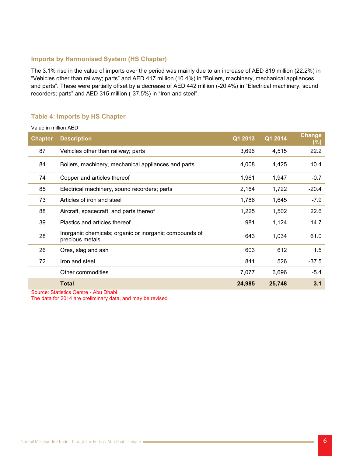#### **Imports by Harmonised System (HS Chapter)**

The 3.1% rise in the value of imports over the period was mainly due to an increase of AED 819 million (22.2%) in "Vehicles other than railway; parts" and AED 417 million (10.4%) in "Boilers, machinery, mechanical appliances and parts". These were partially offset by a decrease of AED 442 million (-20.4%) in "Electrical machinery, sound recorders; parts" and AED 315 million (-37.5%) in "Iron and steel".

#### **Table 4: Imports by HS Chapter**

Value in million AED

| <b>Chapter</b> | <b>Description</b>                                                        | Q1 2013 | Q1 2014 | <b>Change</b><br>$(\%)$ |
|----------------|---------------------------------------------------------------------------|---------|---------|-------------------------|
| 87             | Vehicles other than railway; parts                                        | 3,696   | 4,515   | 22.2                    |
| 84             | Boilers, machinery, mechanical appliances and parts                       | 4,008   | 4,425   | 10.4                    |
| 74             | Copper and articles thereof                                               | 1,961   | 1,947   | $-0.7$                  |
| 85             | Electrical machinery, sound recorders; parts                              | 2,164   | 1,722   | $-20.4$                 |
| 73             | Articles of iron and steel                                                | 1,786   | 1,645   | $-7.9$                  |
| 88             | Aircraft, spacecraft, and parts thereof                                   | 1,225   | 1,502   | 22.6                    |
| 39             | Plastics and articles thereof                                             | 981     | 1,124   | 14.7                    |
| 28             | Inorganic chemicals; organic or inorganic compounds of<br>precious metals | 643     | 1,034   | 61.0                    |
| 26             | Ores, slag and ash                                                        | 603     | 612     | 1.5                     |
| 72             | Iron and steel                                                            | 841     | 526     | $-37.5$                 |
|                | Other commodities                                                         | 7,077   | 6,696   | $-5.4$                  |
|                | <b>Total</b>                                                              | 24,985  | 25,748  | 3.1                     |

Source: Statistics Centre - Abu Dhabi The data for 2014 are preliminary data, and may be revised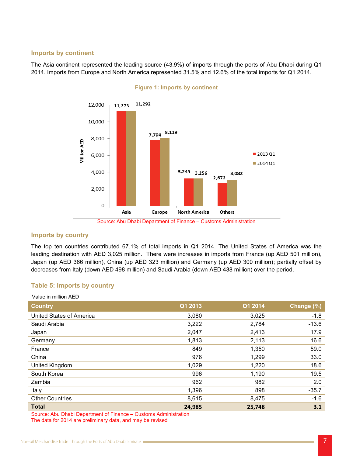#### **lmports** by **continent**

The Asia continent represented the leading source (43.9%) of imports through the ports of Abu Dhabi during Q1 2014. Imports from Europe and North America represented 31.5% and 12.6% of the total imports for Q1 2014.



#### **Figure 1: Imports by continent**

#### **lmports** by country

The top ten countries contributed 67.1% of total imports in Q1 2014. The United States of America was the leading destination with AED 3,025 million. There were increases in imports from France (up AED 501 million), Japan (up AED 366 million), China (up AED 323 million) and Germany (up AED 300 million); partially offset by decreases from Italy (down AED 498 million) and Saudi Arabia (down AED 438 million) over the period.

#### **Table 5: Imports by country**

| Value in million AED     |         |         |            |
|--------------------------|---------|---------|------------|
| <b>Country</b>           | Q1 2013 | Q1 2014 | Change (%) |
| United States of America | 3,080   | 3,025   | $-1.8$     |
| Saudi Arabia             | 3,222   | 2,784   | $-13.6$    |
| Japan                    | 2,047   | 2,413   | 17.9       |
| Germany                  | 1,813   | 2,113   | 16.6       |
| France                   | 849     | 1,350   | 59.0       |
| China                    | 976     | 1,299   | 33.0       |
| United Kingdom           | 1,029   | 1,220   | 18.6       |
| South Korea              | 996     | 1,190   | 19.5       |
| Zambia                   | 962     | 982     | 2.0        |
| Italy                    | 1,396   | 898     | $-35.7$    |
| <b>Other Countries</b>   | 8,615   | 8,475   | $-1.6$     |
| <b>Total</b>             | 24,985  | 25,748  | 3.1        |

Source: Abu Dhabi Department of Finance - Customs Administration The data for 2014 are preliminary data, and may be revised

Source: Abu Dhabi Department of Finance - Customs Administration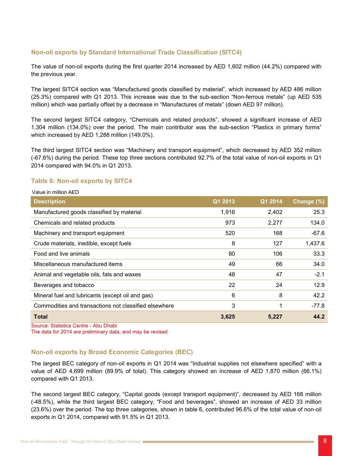#### **Non-oil exports by Standard International Trade Classification (SITC4)**

The value of non-oil exports during the first quarter 2014 increased by AED 1,602 million (44.2%) compared with the previous year.

The largest SITC4 section was "Manufactured goods classified by material", which increased by AED 486 million  $(25.3%)$  compared with Q1 2013. This increase was due to the sub-section "Non-ferrous metals" (up AED 535 million) which was partially offset by a decrease in "Manufactures of metals" (down AED 97 million).

The second largest SITC4 category, "Chemicals and related products", showed a significant increase of AED 1,304 million (134.0%) over the period. The main contributor was the sub-section "Plastics in primary forms" which increased by AED 1,288 million (149.0%).

The third largest SITC4 section was "Machinery and transport equipment", which decreased by AED 352 million (-67.6%) during the period. These top three sections contributed 92.7% of the total value of non-oil exports in Q1 2014 compared with 94.0% in Q1 2013.

#### **Table 6: Non-oil exports by SITC4**

AED million in Value

| <b>Description</b>                                    | Q1 2013 | Q1 2014 | Change (%) |
|-------------------------------------------------------|---------|---------|------------|
| Manufactured goods classified by material             | 1,916   | 2,402   | 25.3       |
| Chemicals and related products                        | 973     | 2,277   | 134.0      |
| Machinery and transport equipment                     | 520     | 168     | $-67.6$    |
| Crude materials, inedible, except fuels               | 8       | 127     | 1,437.6    |
| Food and live animals                                 | 80      | 106     | 33.3       |
| Miscellaneous manufactured items                      | 49      | 66      | 34.0       |
| Animal and vegetable oils, fats and waxes             | 48      | 47      | $-2.1$     |
| Beverages and tobacco                                 | 22      | 24      | 12.9       |
| Mineral fuel and lubricants (except oil and gas)      | 6       | 8       | 42.2       |
| Commodities and transactions not classified elsewhere | 3       | 1       | $-77.8$    |
| <b>Total</b>                                          | 3,625   | 5,227   | 44.2       |

Source: Statistics Centre - Abu Dhabi

The data for 2014 are preliminary data, and may be revised

#### **Non-oil exports by Broad Economic Categories (BEC)**

The largest BEC category of non-oil exports in Q1 2014 was "Industrial supplies not elsewhere specified" with a value of AED 4,699 million (89.9% of total). This category showed an increase of AED 1,870 million (66.1%) compared with Q1 2013.

The second largest BEC category, "Capital goods (except transport equipment)", decreased by AED 168 million (-48.5%), while the third largest BEC category, "Food and beverages", showed an increase of AED 33 million (23.6%) over the period. The top three categories, shown in table 6, contributed 96.6% of the total value of non-oil exports in Q1 2014, compared with  $91.5\%$  in Q1 2013.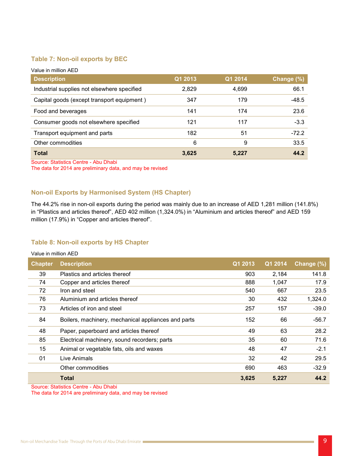#### **Table 7: Non-oil exports by BEC**

| Value in million AED                        |         |         |            |
|---------------------------------------------|---------|---------|------------|
| <b>Description</b>                          | Q1 2013 | Q1 2014 | Change (%) |
| Industrial supplies not elsewhere specified | 2,829   | 4,699   | 66.1       |
| Capital goods (except transport equipment)  | 347     | 179     | $-48.5$    |
| Food and beverages                          | 141     | 174     | 23.6       |
| Consumer goods not elsewhere specified      | 121     | 117     | $-3.3$     |
| Transport equipment and parts               | 182     | 51      | $-72.2$    |
| Other commodities                           | 6       | 9       | 33.5       |
| <b>Total</b>                                | 3,625   | 5,227   | 44.2       |

Source: Statistics Centre - Abu Dhabi The data for 2014 are preliminary data, and may be revised

### **Non-oil Exports by Harmonised System (HS Chapter)**

The 44.2% rise in non-oil exports during the period was mainly due to an increase of AED 1,281 million (141.8%) in "Plastics and articles thereof", AED 402 million (1,324.0%) in "Aluminium and articles thereof" and AED 159 million (17.9%) in "Copper and articles thereof".

#### **Table 8: Non-oil exports by HS Chapter**

#### Value in million AED

| <b>Chapter</b> | <b>Description</b>                                  | Q1 2013 | Q1 2014 | Change (%) |
|----------------|-----------------------------------------------------|---------|---------|------------|
| 39             | Plastics and articles thereof                       | 903     | 2,184   | 141.8      |
| 74             | Copper and articles thereof                         | 888     | 1,047   | 17.9       |
| 72             | Iron and steel                                      | 540     | 667     | 23.5       |
| 76             | Aluminium and articles thereof                      | 30      | 432     | 1,324.0    |
| 73             | Articles of iron and steel                          | 257     | 157     | $-39.0$    |
| 84             | Boilers, machinery, mechanical appliances and parts | 152     | 66      | $-56.7$    |
| 48             | Paper, paperboard and articles thereof              | 49      | 63      | 28.2       |
| 85             | Electrical machinery, sound recorders; parts        | 35      | 60      | 71.6       |
| 15             | Animal or vegetable fats, oils and waxes            | 48      | 47      | $-2.1$     |
| 01             | Live Animals                                        | 32      | 42      | 29.5       |
|                | Other commodities                                   | 690     | 463     | $-32.9$    |
|                | Total                                               | 3,625   | 5,227   | 44.2       |

Source: Statistics Centre - Abu Dhabi

The data for 2014 are preliminary data, and may be revised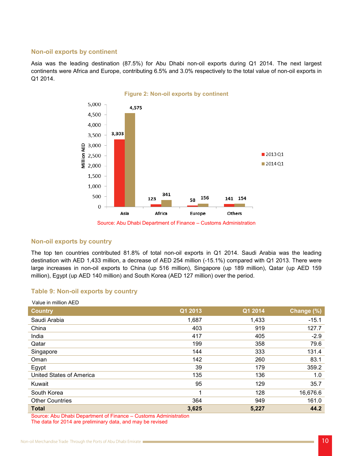#### **Non-oil exports by continent**

Asia was the leading destination (87.5%) for Abu Dhabi non-oil exports during Q1 2014. The next largest continents were Africa and Europe, contributing 6.5% and 3.0% respectively to the total value of non-oil exports in Q1 2014.



Source: Abu Dhabi Department of Finance – Customs Administration

#### **Non-oil exports by country**

The top ten countries contributed 81.8% of total non-oil exports in Q1 2014. Saudi Arabia was the leading destination with AED 1,433 million, a decrease of AED 254 million (-15.1%) compared with Q1 2013. There were large increases in non-oil exports to China (up 516 million), Singapore (up 189 million), Qatar (up AED 159 million), Egypt (up AED 140 million) and South Korea (AED 127 million) over the period.

#### **Table 9: Non-oil exports by country**

| Value in million AED     |         |         |            |
|--------------------------|---------|---------|------------|
| <b>Country</b>           | Q1 2013 | Q1 2014 | Change (%) |
| Saudi Arabia             | 1,687   | 1,433   | $-15.1$    |
| China                    | 403     | 919     | 127.7      |
| India                    | 417     | 405     | $-2.9$     |
| Qatar                    | 199     | 358     | 79.6       |
| Singapore                | 144     | 333     | 131.4      |
| Oman                     | 142     | 260     | 83.1       |
| Egypt                    | 39      | 179     | 359.2      |
| United States of America | 135     | 136     | 1.0        |
| Kuwait                   | 95      | 129     | 35.7       |
| South Korea              |         | 128     | 16,676.6   |
| <b>Other Countries</b>   | 364     | 949     | 161.0      |
| <b>Total</b>             | 3,625   | 5,227   | 44.2       |

Source: Abu Dhabi Department of Finance – Customs Administration The data for 2014 are preliminary data, and may be revised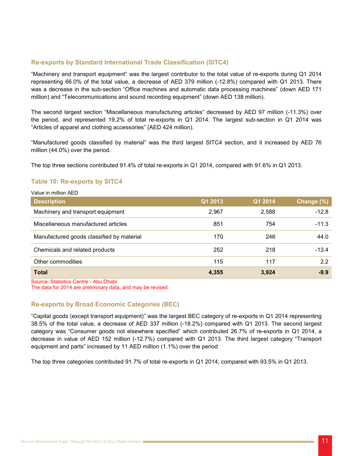#### **Re-exports by Standard International Trade Classification (SITC4)**

"Machinery and transport equipment" was the largest contributor to the total value of re-exports during Q1 2014 representing 66.0% of the total value, a decrease of AED 379 million (-12.8%) compared with Q1 2013. There was a decrease in the sub-section "Office machines and automatic data processing machines" (down AED 171) million) and "Telecommunications and sound recording equipment" (down AED 138 million).

The second largest section "Miscellaneous manufacturing articles" decreased by AED 97 million (-11.3%) over the period, and represented 19.2% of total re-exports in Q1 2014. The largest sub-section in Q1 2014 was "Articles of apparel and clothing accessories" (AED 424 million).

"Manufactured goods classified by material" was the third largest SITC4 section, and it increased by AED 76 million  $(44.0\%)$  over the period.

The top three sections contributed 91.4% of total re-exports in Q1 2014, compared with 91.6% in Q1 2013.

#### **Table 10: Re-exports by SITC4**

| Value in million AED                      |         |         |            |
|-------------------------------------------|---------|---------|------------|
| <b>Description</b>                        | Q1 2013 | Q1 2014 | Change (%) |
| Machinery and transport equipment         | 2,967   | 2,588   | $-12.8$    |
| Miscellaneous manufactured articles       | 851     | 754     | $-11.3$    |
| Manufactured goods classified by material | 170     | 246     | 44.0       |
| Chemicals and related products            | 252     | 218     | $-13.4$    |
| Other commodities                         | 115     | 117     | 2.2        |
| <b>Total</b>                              | 4,355   | 3,924   | $-9.9$     |

Source: Statistics Centre - Abu Dhabi

The data for 2014 are preliminary data, and may be revised

#### **Re-exports by Broad Economic Categories (BEC)**

"Capital goods (except transport equipment)" was the largest BEC category of re-exports in Q1 2014 representing 38.5% of the total value, a decrease of AED 337 million (-18.2%) compared with Q1 2013. The second largest category was "Consumer goods not elsewhere specified" which contributed 26.7% of re-exports in Q1 2014, a decrease in value of AED 152 million (-12.7%) compared with Q1 2013. The third largest category "Transport equipment and parts" increased by 11 AED million (1.1%) over the period

The top three categories contributed 91.7% of total re-exports in Q1 2014, compared with 93.5% in Q1 2013.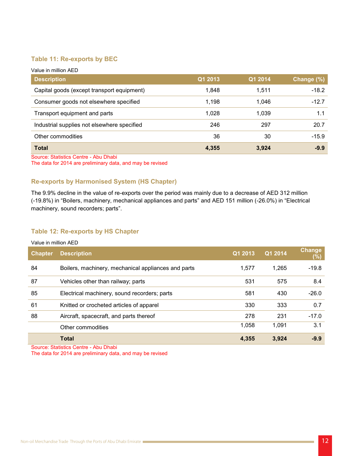#### **Table 11: Re-exports by BEC**

| Value in million AED                        |         |         |            |
|---------------------------------------------|---------|---------|------------|
| <b>Description</b>                          | Q1 2013 | Q1 2014 | Change (%) |
| Capital goods (except transport equipment)  | 1,848   | 1.511   | $-18.2$    |
| Consumer goods not elsewhere specified      | 1,198   | 1.046   | $-12.7$    |
| Transport equipment and parts               | 1,028   | 1,039   | 1.1        |
| Industrial supplies not elsewhere specified | 246     | 297     | 20.7       |
| Other commodities                           | 36      | 30      | $-15.9$    |
| <b>Total</b>                                | 4,355   | 3,924   | $-9.9$     |

Source: Statistics Centre - Abu Dhabi The data for 2014 are preliminary data, and may be revised

#### **Re-exports by Harmonised System (HS Chapter)**

The 9.9% decline in the value of re-exports over the period was mainly due to a decrease of AED 312 million (-19.8%) in "Boilers, machinery, mechanical appliances and parts" and AED 151 million (-26.0%) in "Electrical machinery, sound recorders; parts".

#### **Table 12: Re-exports by HS Chapter**

| <b>Chapter</b> | <b>Description</b>                                  | Q1 2013 | Q1 2014 | <b>Change</b><br>$(\%)$ |
|----------------|-----------------------------------------------------|---------|---------|-------------------------|
| 84             | Boilers, machinery, mechanical appliances and parts | 1,577   | 1.265   | $-19.8$                 |
| 87             | Vehicles other than railway; parts                  | 531     | 575     | 8.4                     |
| 85             | Electrical machinery, sound recorders; parts        | 581     | 430     | $-26.0$                 |
| 61             | Knitted or crocheted articles of apparel            | 330     | 333     | 0.7                     |
| 88             | Aircraft, spacecraft, and parts thereof             | 278     | 231     | $-17.0$                 |
|                | Other commodities                                   | 1,058   | 1,091   | 3.1                     |
|                | <b>Total</b>                                        | 4,355   | 3,924   | $-9.9$                  |

Source: Statistics Centre - Abu Dhabi

The data for 2014 are preliminary data, and may be revised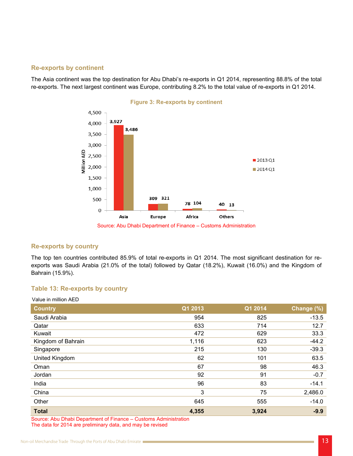#### **Re-exports by continent**

The Asia continent was the top destination for Abu Dhabi's re-exports in Q1 2014, representing 88.8% of the total re-exports. The next largest continent was Europe, contributing 8.2% to the total value of re-exports in Q1 2014.



#### **Re-exports by country**

exports was Saudi Arabia (21.0% of the total) followed by Qatar (18.2%), Kuwait (16.0%) and the Kingdom of The top ten countries contributed 85.9% of total re-exports in Q1 2014. The most significant destination for re-Bahrain (15.9%).

#### **Table 13: Re-exports by country**

| <b>Country</b>     | Q1 2013 | Q1 2014 | Change (%) |
|--------------------|---------|---------|------------|
| Saudi Arabia       | 954     | 825     | $-13.5$    |
| Qatar              | 633     | 714     | 12.7       |
| Kuwait             | 472     | 629     | 33.3       |
| Kingdom of Bahrain | 1,116   | 623     | $-44.2$    |
| Singapore          | 215     | 130     | $-39.3$    |
| United Kingdom     | 62      | 101     | 63.5       |
| Oman               | 67      | 98      | 46.3       |
| Jordan             | 92      | 91      | $-0.7$     |
| India              | 96      | 83      | $-14.1$    |
| China              | 3       | 75      | 2,486.0    |
| Other              | 645     | 555     | $-14.0$    |
| <b>Total</b>       | 4,355   | 3,924   | $-9.9$     |

Source: Abu Dhabi Department of Finance – Customs Administration The data for 2014 are preliminary data, and may be revised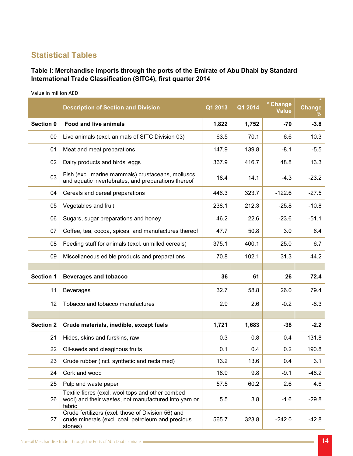## **Statistical Tables**

## Table I: Merchandise imports through the ports of the Emirate of Abu Dhabi by Standard **International Trade Classification (SITC4), first quarter 2014**

Value in million AED

|                  | <b>Description of Section and Division</b>                                                                                                                                | Q1 2013 | Q1 2014 | * Change<br>Value | Change<br>℅ |
|------------------|---------------------------------------------------------------------------------------------------------------------------------------------------------------------------|---------|---------|-------------------|-------------|
| Section 0        | <b>Food and live animals</b>                                                                                                                                              | 1,822   | 1,752   | $-70$             | $-3.8$      |
| $00\,$           | Live animals (excl. animals of SITC Division 03)                                                                                                                          | 63.5    | 70.1    | 6.6               | 10.3        |
| 01               | Meat and meat preparations                                                                                                                                                | 147.9   | 139.8   | $-8.1$            | $-5.5$      |
| 02               | Dairy products and birds' eggs                                                                                                                                            | 367.9   | 416.7   | 48.8              | 13.3        |
| 03               | Fish (excl. marine mammals) crustaceans, molluscs<br>and aquatic invertebrates, and preparations thereof                                                                  | 18.4    | 14.1    | $-4.3$            | $-23.2$     |
| 04               | Cereals and cereal preparations                                                                                                                                           | 446.3   | 323.7   | $-122.6$          | $-27.5$     |
| 05               | Vegetables and fruit                                                                                                                                                      | 238.1   | 212.3   | $-25.8$           | $-10.8$     |
| 06               | Sugars, sugar preparations and honey                                                                                                                                      | 46.2    | 22.6    | $-23.6$           | $-51.1$     |
| 07               | Coffee, tea, cocoa, spices, and manufactures thereof                                                                                                                      | 47.7    | 50.8    | 3.0               | 6.4         |
| 08               | Feeding stuff for animals (excl. unmilled cereals)                                                                                                                        | 375.1   | 400.1   | 25.0              | 6.7         |
| 09               | Miscellaneous edible products and preparations                                                                                                                            | 70.8    | 102.1   | 31.3              | 44.2        |
|                  |                                                                                                                                                                           |         |         |                   |             |
| <b>Section 1</b> | <b>Beverages and tobacco</b>                                                                                                                                              | 36      | 61      | 26                | 72.4        |
| 11               | <b>Beverages</b>                                                                                                                                                          | 32.7    | 58.8    | 26.0              | 79.4        |
| 12               |                                                                                                                                                                           |         |         |                   |             |
|                  | Tobacco and tobacco manufactures                                                                                                                                          | 2.9     | 2.6     | $-0.2$            | $-8.3$      |
|                  |                                                                                                                                                                           |         |         |                   |             |
| <b>Section 2</b> | Crude materials, inedible, except fuels                                                                                                                                   | 1,721   | 1,683   | $-38$             | $-2.2$      |
| 21               | Hides, skins and furskins, raw                                                                                                                                            | 0.3     | 0.8     | 0.4               | 131.8       |
| 22               | Oil-seeds and oleaginous fruits                                                                                                                                           | 0.1     | 0.4     | 0.2               | 190.8       |
| 23               | Crude rubber (incl. synthetic and reclaimed)                                                                                                                              | 13.2    | 13.6    | 0.4               | 3.1         |
| 24               | Cork and wood                                                                                                                                                             | 18.9    | 9.8     | $-9.1$            | $-48.2$     |
| 25               | Pulp and waste paper                                                                                                                                                      | 57.5    | 60.2    | 2.6               | 4.6         |
| 26               | Textile fibres (excl. wool tops and other combed<br>wool) and their wastes, not manufactured into yarn or<br>fabric<br>Crude fertilizers (excl. those of Division 56) and | 5.5     | 3.8     | $-1.6$            | $-29.8$     |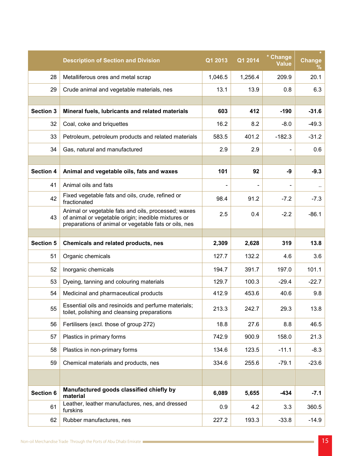|                  | <b>Description of Section and Division</b>                                                                                                                          | Q1 2013 | Q1 2014 | * Change<br><b>Value</b> | $\star$<br><b>Change</b><br>℅ |
|------------------|---------------------------------------------------------------------------------------------------------------------------------------------------------------------|---------|---------|--------------------------|-------------------------------|
| 28               | Metalliferous ores and metal scrap                                                                                                                                  | 1,046.5 | 1,256.4 | 209.9                    | 20.1                          |
| 29               | Crude animal and vegetable materials, nes                                                                                                                           | 13.1    | 13.9    | 0.8                      | 6.3                           |
|                  |                                                                                                                                                                     |         |         |                          |                               |
| <b>Section 3</b> | Mineral fuels, lubricants and related materials                                                                                                                     | 603     | 412     | $-190$                   | $-31.6$                       |
| 32               | Coal, coke and briquettes                                                                                                                                           | 16.2    | 8.2     | $-8.0$                   | $-49.3$                       |
| 33               | Petroleum, petroleum products and related materials                                                                                                                 | 583.5   | 401.2   | $-182.3$                 | $-31.2$                       |
| 34               | Gas, natural and manufactured                                                                                                                                       | 2.9     | 2.9     |                          | 0.6                           |
|                  |                                                                                                                                                                     |         |         |                          |                               |
| <b>Section 4</b> | Animal and vegetable oils, fats and waxes                                                                                                                           | 101     | 92      | -9                       | $-9.3$                        |
| 41               | Animal oils and fats                                                                                                                                                |         |         |                          | $\ddotsc$                     |
| 42               | Fixed vegetable fats and oils, crude, refined or<br>fractionated                                                                                                    | 98.4    | 91.2    | $-7.2$                   | $-7.3$                        |
| 43               | Animal or vegetable fats and oils, processed; waxes<br>of animal or vegetable origin; inedible mixtures or<br>preparations of animal or vegetable fats or oils, nes | 2.5     | 0.4     | $-2.2$                   | $-86.1$                       |
|                  |                                                                                                                                                                     |         |         |                          |                               |
|                  |                                                                                                                                                                     |         |         |                          |                               |
| <b>Section 5</b> | Chemicals and related products, nes                                                                                                                                 | 2,309   | 2,628   | 319                      | 13.8                          |
| 51               | Organic chemicals                                                                                                                                                   | 127.7   | 132.2   | 4.6                      | 3.6                           |
| 52               | Inorganic chemicals                                                                                                                                                 | 194.7   | 391.7   | 197.0                    | 101.1                         |
| 53               | Dyeing, tanning and colouring materials                                                                                                                             | 129.7   | 100.3   | $-29.4$                  | $-22.7$                       |
| 54               | Medicinal and pharmaceutical products                                                                                                                               | 412.9   | 453.6   | 40.6                     | 9.8                           |
| 55               | Essential oils and resinoids and perfume materials;<br>toilet, polishing and cleansing preparations                                                                 | 213.3   | 242.7   | 29.3                     | 13.8                          |
| 56               | Fertilisers (excl. those of group 272)                                                                                                                              | 18.8    | 27.6    | 8.8                      | 46.5                          |
| 57               | Plastics in primary forms                                                                                                                                           | 742.9   | 900.9   | 158.0                    | 21.3                          |
| 58               | Plastics in non-primary forms                                                                                                                                       | 134.6   | 123.5   | $-11.1$                  | $-8.3$                        |
| 59               | Chemical materials and products, nes                                                                                                                                | 334.6   | 255.6   | $-79.1$                  | $-23.6$                       |
|                  |                                                                                                                                                                     |         |         |                          |                               |
| Section 6        | Manufactured goods classified chiefly by<br>material                                                                                                                | 6,089   | 5,655   | $-434$                   | $-7.1$                        |
| 61               | Leather, leather manufactures, nes, and dressed<br>furskins                                                                                                         | 0.9     | 4.2     | 3.3                      | 360.5                         |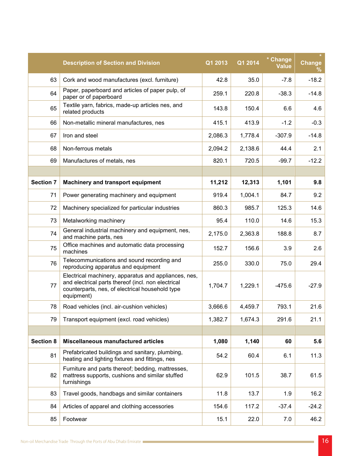|                  | <b>Description of Section and Division</b>                                                                                                                                  | Q1 2013 | Q1 2014 | * Change<br><b>Value</b> | <b>Change</b><br>℅ |
|------------------|-----------------------------------------------------------------------------------------------------------------------------------------------------------------------------|---------|---------|--------------------------|--------------------|
| 63               | Cork and wood manufactures (excl. furniture)                                                                                                                                | 42.8    | 35.0    | $-7.8$                   | $-18.2$            |
| 64               | Paper, paperboard and articles of paper pulp, of<br>paper or of paperboard                                                                                                  | 259.1   | 220.8   | $-38.3$                  | $-14.8$            |
| 65               | Textile yarn, fabrics, made-up articles nes, and<br>related products                                                                                                        | 143.8   | 150.4   | 6.6                      | 4.6                |
| 66               | Non-metallic mineral manufactures, nes                                                                                                                                      | 415.1   | 413.9   | $-1.2$                   | $-0.3$             |
| 67               | Iron and steel                                                                                                                                                              | 2,086.3 | 1,778.4 | $-307.9$                 | $-14.8$            |
| 68               | Non-ferrous metals                                                                                                                                                          | 2,094.2 | 2,138.6 | 44.4                     | 2.1                |
| 69               | Manufactures of metals, nes                                                                                                                                                 | 820.1   | 720.5   | $-99.7$                  | $-12.2$            |
|                  |                                                                                                                                                                             |         |         |                          |                    |
| <b>Section 7</b> | <b>Machinery and transport equipment</b>                                                                                                                                    | 11,212  | 12,313  | 1,101                    | 9.8                |
| 71               | Power generating machinery and equipment                                                                                                                                    | 919.4   | 1,004.1 | 84.7                     | 9.2                |
| 72               | Machinery specialized for particular industries                                                                                                                             | 860.3   | 985.7   | 125.3                    | 14.6               |
| 73               | Metalworking machinery                                                                                                                                                      | 95.4    | 110.0   | 14.6                     | 15.3               |
| 74               | General industrial machinery and equipment, nes,<br>and machine parts, nes                                                                                                  | 2,175.0 | 2,363.8 | 188.8                    | 8.7                |
| 75               | Office machines and automatic data processing<br>machines                                                                                                                   | 152.7   | 156.6   | 3.9                      | 2.6                |
| 76               | Telecommunications and sound recording and<br>reproducing apparatus and equipment                                                                                           | 255.0   | 330.0   | 75.0                     | 29.4               |
| 77               | Electrical machinery, apparatus and appliances, nes,<br>and electrical parts thereof (incl. non electrical<br>counterparts, nes, of electrical household type<br>equipment) | 1,704.7 | 1,229.1 | $-475.6$                 | $-27.9$            |
| 78               | Road vehicles (incl. air-cushion vehicles)                                                                                                                                  | 3,666.6 | 4,459.7 | 793.1                    | 21.6               |
| 79               | Transport equipment (excl. road vehicles)                                                                                                                                   | 1,382.7 | 1,674.3 | 291.6                    | 21.1               |
|                  |                                                                                                                                                                             |         |         |                          |                    |
| <b>Section 8</b> | Miscellaneous manufactured articles                                                                                                                                         | 1,080   | 1,140   | 60                       | 5.6                |
| 81               | Prefabricated buildings and sanitary, plumbing,<br>heating and lighting fixtures and fittings, nes                                                                          | 54.2    | 60.4    | 6.1                      | 11.3               |
| 82               | Furniture and parts thereof; bedding, mattresses,<br>mattress supports, cushions and similar stuffed<br>furnishings                                                         | 62.9    | 101.5   | 38.7                     | 61.5               |
| 83               | Travel goods, handbags and similar containers                                                                                                                               | 11.8    | 13.7    | 1.9                      | 16.2               |
| 84               | Articles of apparel and clothing accessories                                                                                                                                | 154.6   | 117.2   | $-37.4$                  | $-24.2$            |
| 85               | Footwear                                                                                                                                                                    | 15.1    | 22.0    | 7.0                      | 46.2               |

16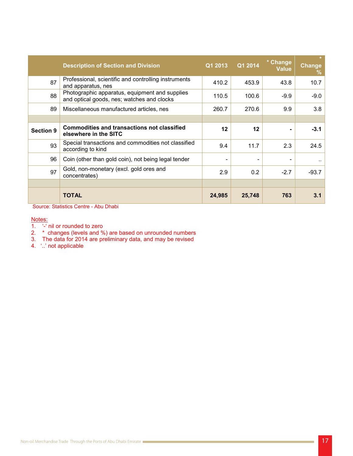|                  | <b>Description of Section and Division</b>                                                   | Q1 2013 | Q1 2014 | * Change<br>Value | <b>Change</b><br>% |
|------------------|----------------------------------------------------------------------------------------------|---------|---------|-------------------|--------------------|
| 87               | Professional, scientific and controlling instruments<br>and apparatus, nes                   | 410.2   | 453.9   | 43.8              | 10.7               |
| 88               | Photographic apparatus, equipment and supplies<br>and optical goods, nes; watches and clocks | 110.5   | 100.6   | $-9.9$            | $-9.0$             |
| 89               | Miscellaneous manufactured articles, nes                                                     | 260.7   | 270.6   | 9.9               | 3.8                |
|                  |                                                                                              |         |         |                   |                    |
| <b>Section 9</b> | <b>Commodities and transactions not classified</b><br>elsewhere in the SITC                  | 12      | $12 \,$ | ۰                 | $-3.1$             |
| 93               | Special transactions and commodities not classified<br>according to kind                     | 9.4     | 11.7    | 2.3               | 24.5               |
| 96               | Coin (other than gold coin), not being legal tender                                          |         |         |                   | $\sim$             |
| 97               | Gold, non-monetary (excl. gold ores and<br>concentrates)                                     | 2.9     | 0.2     | $-2.7$            | $-93.7$            |
|                  |                                                                                              |         |         |                   |                    |
|                  | <b>TOTAL</b>                                                                                 | 24,985  | 25,748  | 763               | 3.1                |

Source: Statistics Centre - Abu Dhabi

#### Notes:

- $\overline{1.}$   $\overline{1.}$   $\overline{1.}$   $\overline{1.}$  nil or rounded to zero
- 2. \* changes (levels and %) are based on unrounded numbers
- 3. The data for 2014 are preliminary data, and may be revised
- 4. '..' not applicable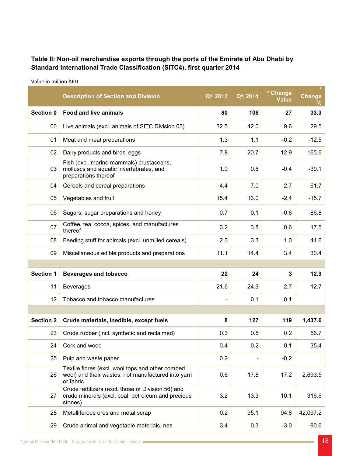## Table II: Non-oil merchandise exports through the ports of the Emirate of Abu Dhabi by **2014** Standard International Trade Classification (SITC4), first quarter 2014

|                  | <b>Description of Section and Division</b>                                                                          | Q1 2013 | Q1 2014 | * Change<br>Value | <b>Change</b><br>℅ |
|------------------|---------------------------------------------------------------------------------------------------------------------|---------|---------|-------------------|--------------------|
| Section 0        | <b>Food and live animals</b>                                                                                        | 80      | 106     | 27                | 33.3               |
| 00               | Live animals (excl. animals of SITC Division 03)                                                                    | 32.5    | 42.0    | 9.6               | 29.5               |
| 01               | Meat and meat preparations                                                                                          | 1.3     | 1.1     | $-0.2$            | $-12.5$            |
| 02               | Dairy products and birds' eggs                                                                                      | 7.8     | 20.7    | 12.9              | 165.6              |
| 03               | Fish (excl. marine mammals) crustaceans,<br>molluscs and aquatic invertebrates, and<br>preparations thereof         | 1.0     | 0.6     | $-0.4$            | $-39.1$            |
| 04               | Cereals and cereal preparations                                                                                     | 4.4     | 7.0     | 2.7               | 61.7               |
| 05               | Vegetables and fruit                                                                                                | 15.4    | 13.0    | $-2.4$            | $-15.7$            |
| 06               | Sugars, sugar preparations and honey                                                                                | 0.7     | 0.1     | $-0.6$            | $-86.8$            |
| 07               | Coffee, tea, cocoa, spices, and manufactures<br>thereof                                                             | 3.2     | 3.8     | 0.6               | 17.5               |
| 08               | Feeding stuff for animals (excl. unmilled cereals)                                                                  | 2.3     | 3.3     | 1.0               | 44.6               |
| 09               | Miscellaneous edible products and preparations                                                                      | 11.1    | 14.4    | 3.4               | 30.4               |
|                  |                                                                                                                     |         |         |                   |                    |
| <b>Section 1</b> | <b>Beverages and tobacco</b>                                                                                        | 22      | 24      | 3                 | 12.9               |
| 11               | <b>Beverages</b>                                                                                                    | 21.6    | 24.3    | 2.7               | 12.7               |
| 12               | Tobacco and tobacco manufactures                                                                                    |         | 0.1     | 0.1               |                    |
|                  |                                                                                                                     |         |         |                   |                    |
| <b>Section 2</b> | Crude materials, inedible, except fuels                                                                             | 8       | 127     | 119               | 1,437.6            |
| 23               | Crude rubber (incl. synthetic and reclaimed)                                                                        | 0.3     | 0.5     | 0.2               | 56.7               |
| 24               | Cork and wood                                                                                                       | 0.4     | 0.2     | $-0.1$            | $-35.4$            |
| 25               | Pulp and waste paper                                                                                                | 0.2     |         | $-0.2$            | $\cdot$ .          |
| 26               | Textile fibres (excl. wool tops and other combed<br>wool) and their wastes, not manufactured into yarn<br>or fabric | 0.6     | 17.8    | 17.2              | 2,693.5            |
| 27               | Crude fertilizers (excl. those of Division 56) and<br>crude minerals (excl. coal, petroleum and precious<br>stones) | 3.2     | 13.3    | 10.1              | 316.6              |
| 28               | Metalliferous ores and metal scrap                                                                                  | 0.2     | 95.1    | 94.8              | 42,097.2           |
| 29               | Crude animal and vegetable materials, nes                                                                           | 3.4     | 0.3     | $-3.0$            | $-90.6$            |

Value in million AED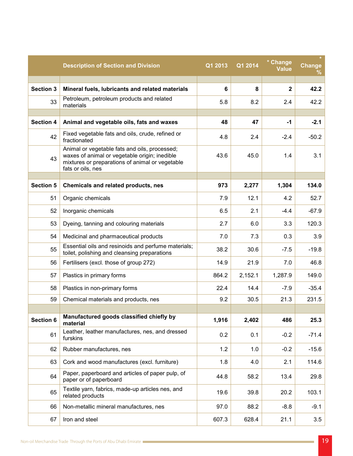|                  | <b>Description of Section and Division</b>                                                                                                                             | Q1 2013 | Q1 2014 | * Change<br><b>Value</b> | <b>Change</b><br>℅ |
|------------------|------------------------------------------------------------------------------------------------------------------------------------------------------------------------|---------|---------|--------------------------|--------------------|
|                  |                                                                                                                                                                        |         |         |                          |                    |
| <b>Section 3</b> | Mineral fuels, lubricants and related materials                                                                                                                        | 6       | 8       | $\mathbf{2}$             | 42.2               |
| 33               | Petroleum, petroleum products and related<br>materials                                                                                                                 | 5.8     | 8.2     | 2.4                      | 42.2               |
| <b>Section 4</b> | Animal and vegetable oils, fats and waxes                                                                                                                              | 48      | 47      | $-1$                     | $-2.1$             |
| 42               | Fixed vegetable fats and oils, crude, refined or<br>fractionated                                                                                                       | 4.8     | 2.4     | $-2.4$                   | $-50.2$            |
| 43               | Animal or vegetable fats and oils, processed;<br>waxes of animal or vegetable origin; inedible<br>mixtures or preparations of animal or vegetable<br>fats or oils, nes | 43.6    | 45.0    | 1.4                      | 3.1                |
|                  |                                                                                                                                                                        |         |         |                          |                    |
| <b>Section 5</b> | Chemicals and related products, nes                                                                                                                                    | 973     | 2,277   | 1,304                    | 134.0              |
| 51               | Organic chemicals                                                                                                                                                      | 7.9     | 12.1    | 4.2                      | 52.7               |
| 52               | Inorganic chemicals                                                                                                                                                    | 6.5     | 2.1     | $-4.4$                   | $-67.9$            |
| 53               | Dyeing, tanning and colouring materials                                                                                                                                | 2.7     | 6.0     | 3.3                      | 120.3              |
| 54               | Medicinal and pharmaceutical products                                                                                                                                  | 7.0     | 7.3     | 0.3                      | 3.9                |
| 55               | Essential oils and resinoids and perfume materials;<br>toilet, polishing and cleansing preparations                                                                    | 38.2    | 30.6    | $-7.5$                   | $-19.8$            |
| 56               | Fertilisers (excl. those of group 272)                                                                                                                                 | 14.9    | 21.9    | 7.0                      | 46.8               |
| 57               | Plastics in primary forms                                                                                                                                              | 864.2   | 2,152.1 | 1,287.9                  | 149.0              |
| 58               | Plastics in non-primary forms                                                                                                                                          | 22.4    | 14.4    | $-7.9$                   | $-35.4$            |
| 59               | Chemical materials and products, nes                                                                                                                                   | 9.2     | 30.5    | 21.3                     | 231.5              |
|                  |                                                                                                                                                                        |         |         |                          |                    |
| Section 6        | Manufactured goods classified chiefly by<br>material                                                                                                                   | 1,916   | 2,402   | 486                      | 25.3               |
| 61               | Leather, leather manufactures, nes, and dressed<br>furskins                                                                                                            | 0.2     | 0.1     | $-0.2$                   | $-71.4$            |
| 62               | Rubber manufactures, nes                                                                                                                                               | 1.2     | 1.0     | $-0.2$                   | $-15.6$            |
| 63               | Cork and wood manufactures (excl. furniture)                                                                                                                           | 1.8     | 4.0     | 2.1                      | 114.6              |
| 64               | Paper, paperboard and articles of paper pulp, of<br>paper or of paperboard                                                                                             | 44.8    | 58.2    | 13.4                     | 29.8               |
| 65               | Textile yarn, fabrics, made-up articles nes, and<br>related products                                                                                                   | 19.6    | 39.8    | 20.2                     | 103.1              |
| 66               | Non-metallic mineral manufactures, nes                                                                                                                                 | 97.0    | 88.2    | $-8.8$                   | $-9.1$             |
| 67               | Iron and steel                                                                                                                                                         | 607.3   | 628.4   | 21.1                     | 3.5                |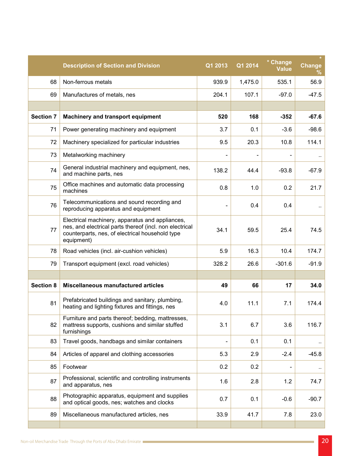|                  | <b>Description of Section and Division</b>                                                                                                                                  | Q1 2013                  | Q1 2014 | * Change<br><b>Value</b> | <b>Change</b><br>℅ |
|------------------|-----------------------------------------------------------------------------------------------------------------------------------------------------------------------------|--------------------------|---------|--------------------------|--------------------|
| 68               | Non-ferrous metals                                                                                                                                                          | 939.9                    | 1,475.0 | 535.1                    | 56.9               |
| 69               | Manufactures of metals, nes                                                                                                                                                 | 204.1                    | 107.1   | $-97.0$                  | $-47.5$            |
|                  |                                                                                                                                                                             |                          |         |                          |                    |
| <b>Section 7</b> | <b>Machinery and transport equipment</b>                                                                                                                                    | 520                      | 168     | $-352$                   | $-67.6$            |
| 71               | Power generating machinery and equipment                                                                                                                                    | 3.7                      | 0.1     | $-3.6$                   | $-98.6$            |
| 72               | Machinery specialized for particular industries                                                                                                                             | 9.5                      | 20.3    | 10.8                     | 114.1              |
| 73               | Metalworking machinery                                                                                                                                                      |                          |         |                          | $\cdot$ .          |
| 74               | General industrial machinery and equipment, nes,<br>and machine parts, nes                                                                                                  | 138.2                    | 44.4    | $-93.8$                  | $-67.9$            |
| 75               | Office machines and automatic data processing<br>machines                                                                                                                   | 0.8                      | 1.0     | 0.2                      | 21.7               |
| 76               | Telecommunications and sound recording and<br>reproducing apparatus and equipment                                                                                           | $\overline{\phantom{0}}$ | 0.4     | 0.4                      | ٠.                 |
| 77               | Electrical machinery, apparatus and appliances,<br>nes, and electrical parts thereof (incl. non electrical<br>counterparts, nes, of electrical household type<br>equipment) | 34.1                     | 59.5    | 25.4                     | 74.5               |
| 78               | Road vehicles (incl. air-cushion vehicles)                                                                                                                                  | 5.9                      | 16.3    | 10.4                     | 174.7              |
| 79               | Transport equipment (excl. road vehicles)                                                                                                                                   | 328.2                    | 26.6    | $-301.6$                 | $-91.9$            |
|                  |                                                                                                                                                                             |                          |         |                          |                    |
| <b>Section 8</b> | Miscellaneous manufactured articles                                                                                                                                         | 49                       | 66      | 17                       | 34.0               |
| 81               | Prefabricated buildings and sanitary, plumbing,<br>heating and lighting fixtures and fittings, nes                                                                          | 4.0                      | 11.1    | 7.1                      | 174.4              |
| 82               | Furniture and parts thereof; bedding, mattresses,<br>mattress supports, cushions and similar stuffed<br>furnishings                                                         | 3.1                      | 6.7     | 3.6                      | 116.7              |
| 83               | Travel goods, handbags and similar containers                                                                                                                               |                          | 0.1     | 0.1                      | $\cdot$            |
| 84               | Articles of apparel and clothing accessories                                                                                                                                | 5.3                      | 2.9     | $-2.4$                   | $-45.8$            |
| 85               | Footwear                                                                                                                                                                    | 0.2                      | 0.2     |                          | $\cdot$ .          |
| 87               | Professional, scientific and controlling instruments<br>and apparatus, nes                                                                                                  | 1.6                      | 2.8     | 1.2                      | 74.7               |
| 88               | Photographic apparatus, equipment and supplies<br>and optical goods, nes; watches and clocks                                                                                | 0.7                      | 0.1     | $-0.6$                   | $-90.7$            |
| 89               | Miscellaneous manufactured articles, nes                                                                                                                                    | 33.9                     | 41.7    | 7.8                      | 23.0               |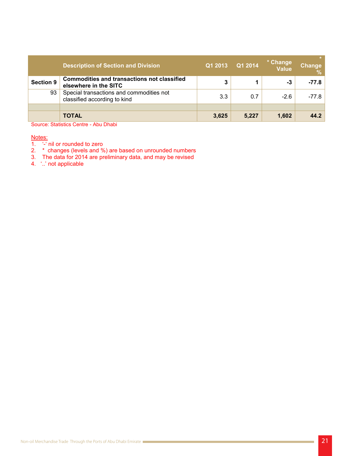|                  | <b>Description of Section and Division</b>                                  | Q1 2013 | Q1 2014 | * Change<br><b>Value</b> | Change<br>$\sqrt{2}$ |
|------------------|-----------------------------------------------------------------------------|---------|---------|--------------------------|----------------------|
| <b>Section 9</b> | <b>Commodities and transactions not classified</b><br>elsewhere in the SITC | 3       |         | -3                       | $-77.8$              |
| 93               | Special transactions and commodities not<br>classified according to kind    | 3.3     | 0.7     | $-2.6$                   | $-77.8$              |
|                  |                                                                             |         |         |                          |                      |
|                  | <b>TOTAL</b>                                                                | 3,625   | 5,227   | 1,602                    | 44.2                 |

Source: Statistics Centre - Abu Dhabi

Notes:

- 1.  $\div$  nil or rounded to zero
- 2. \* changes (levels and %) are based on unrounded numbers
- 3. The data for 2014 are preliminary data, and may be revised
- 4. '..' not applicable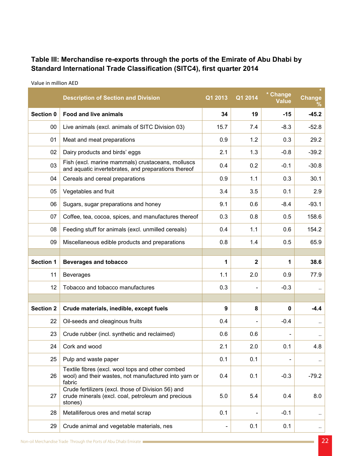## Table III: Merchandise re-exports through the ports of the Emirate of Abu Dhabi by **2014 Standard International Trade Classification (SITC4), first quarter 2014**

|                  | <b>Description of Section and Division</b>                                                                          | Q1 2013 | Q1 2014      | * Change<br>Value | Change<br>℅          |
|------------------|---------------------------------------------------------------------------------------------------------------------|---------|--------------|-------------------|----------------------|
| Section 0        | <b>Food and live animals</b>                                                                                        | 34      | 19           | $-15$             | $-45.2$              |
| 00               | Live animals (excl. animals of SITC Division 03)                                                                    | 15.7    | 7.4          | $-8.3$            | $-52.8$              |
| 01               | Meat and meat preparations                                                                                          | 0.9     | 1.2          | 0.3               | 29.2                 |
| 02               | Dairy products and birds' eggs                                                                                      | 2.1     | 1.3          | $-0.8$            | $-39.2$              |
| 03               | Fish (excl. marine mammals) crustaceans, molluscs<br>and aquatic invertebrates, and preparations thereof            | 0.4     | 0.2          | $-0.1$            | $-30.8$              |
| 04               | Cereals and cereal preparations                                                                                     | 0.9     | 1.1          | 0.3               | 30.1                 |
| 05               | Vegetables and fruit                                                                                                | 3.4     | 3.5          | 0.1               | 2.9                  |
| 06               | Sugars, sugar preparations and honey                                                                                | 9.1     | 0.6          | $-8.4$            | $-93.1$              |
| 07               | Coffee, tea, cocoa, spices, and manufactures thereof                                                                | 0.3     | 0.8          | 0.5               | 158.6                |
| 08               | Feeding stuff for animals (excl. unmilled cereals)                                                                  | 0.4     | 1.1          | 0.6               | 154.2                |
| 09               | Miscellaneous edible products and preparations                                                                      | 0.8     | 1.4          | 0.5               | 65.9                 |
|                  |                                                                                                                     |         |              |                   |                      |
| <b>Section 1</b> | <b>Beverages and tobacco</b>                                                                                        | 1       | $\mathbf{2}$ | 1                 | 38.6                 |
| 11               | <b>Beverages</b>                                                                                                    | 1.1     | 2.0          | 0.9               | 77.9                 |
| 12               | Tobacco and tobacco manufactures                                                                                    | 0.3     |              | $-0.3$            | $\ddot{\phantom{0}}$ |
|                  |                                                                                                                     |         |              |                   |                      |
| <b>Section 2</b> | Crude materials, inedible, except fuels                                                                             | 9       | 8            | 0                 | $-4.4$               |
| 22               | Oil-seeds and oleaginous fruits                                                                                     | 0.4     |              | $-0.4$            |                      |
| 23               | Crude rubber (incl. synthetic and reclaimed)                                                                        | 0.6     | 0.6          |                   | .,                   |
| 24               | Cork and wood                                                                                                       | 2.1     | 2.0          | 0.1               | 4.8                  |
| 25               | Pulp and waste paper                                                                                                | 0.1     | 0.1          |                   | $\ddot{\phantom{1}}$ |
| 26               | Textile fibres (excl. wool tops and other combed<br>wool) and their wastes, not manufactured into yarn or<br>fabric | 0.4     | 0.1          | $-0.3$            | $-79.2$              |
| 27               | Crude fertilizers (excl. those of Division 56) and<br>crude minerals (excl. coal, petroleum and precious<br>stones) | 5.0     | 5.4          | 0.4               | 8.0                  |
| 28               | Metalliferous ores and metal scrap                                                                                  | 0.1     |              | $-0.1$            | $\sim$               |
| 29               | Crude animal and vegetable materials, nes                                                                           |         | 0.1          | 0.1               | $\epsilon$           |

Value in million AED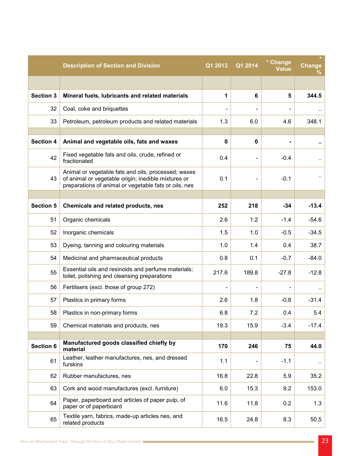|                  | <b>Description of Section and Division</b>                                                                                                                          | Q1 2013                  | Q1 2014  | * Change<br>Value | <b>Change</b><br>℅ |
|------------------|---------------------------------------------------------------------------------------------------------------------------------------------------------------------|--------------------------|----------|-------------------|--------------------|
|                  |                                                                                                                                                                     |                          |          |                   |                    |
| <b>Section 3</b> | Mineral fuels, lubricants and related materials                                                                                                                     | 1                        | 6        | 5                 | 344.5              |
| 32               | Coal, coke and briquettes                                                                                                                                           | $\overline{\phantom{a}}$ |          |                   |                    |
| 33               | Petroleum, petroleum products and related materials                                                                                                                 | 1.3                      | 6.0      | 4.6               | 348.1              |
|                  |                                                                                                                                                                     |                          |          |                   |                    |
| <b>Section 4</b> | Animal and vegetable oils, fats and waxes                                                                                                                           | 0                        | $\bf{0}$ |                   | ٠.                 |
| 42               | Fixed vegetable fats and oils, crude, refined or<br>fractionated                                                                                                    | 0.4                      |          | $-0.4$            | $\ddotsc$          |
| 43               | Animal or vegetable fats and oils, processed; waxes<br>of animal or vegetable origin; inedible mixtures or<br>preparations of animal or vegetable fats or oils, nes | 0.1                      |          | $-0.1$            |                    |
|                  |                                                                                                                                                                     |                          |          |                   |                    |
| <b>Section 5</b> | Chemicals and related products, nes                                                                                                                                 | 252                      | 218      | $-34$             | $-13.4$            |
| 51               | Organic chemicals                                                                                                                                                   | 2.6                      | 1.2      | $-1.4$            | $-54.6$            |
| 52               | Inorganic chemicals                                                                                                                                                 | 1.5                      | 1.0      | $-0.5$            | $-34.5$            |
| 53               | Dyeing, tanning and colouring materials                                                                                                                             | 1.0                      | 1.4      | 0.4               | 38.7               |
| 54               | Medicinal and pharmaceutical products                                                                                                                               | 0.8                      | 0.1      | $-0.7$            | $-84.0$            |
| 55               | Essential oils and resinoids and perfume materials;<br>toilet, polishing and cleansing preparations                                                                 | 217.6                    | 189.8    | $-27.8$           | $-12.8$            |
| 56               | Fertilisers (excl. those of group 272)                                                                                                                              |                          |          |                   |                    |
| 57               | Plastics in primary forms                                                                                                                                           | 2.6                      | 1.8      | $-0.8$            | $-31.4$            |
| 58               | Plastics in non-primary forms                                                                                                                                       | 6.8                      | 7.2      | 0.4               | 5.4                |
| 59               | Chemical materials and products, nes                                                                                                                                | 19.3                     | 15.9     | $-3.4$            | $-17.4$            |
|                  | Manufactured goods classified chiefly by                                                                                                                            |                          |          |                   |                    |
| <b>Section 6</b> | material                                                                                                                                                            | 170                      | 246      | 75                | 44.0               |
| 61               | Leather, leather manufactures, nes, and dressed<br>furskins                                                                                                         | 1.1                      |          | $-1.1$            |                    |
| 62               | Rubber manufactures, nes                                                                                                                                            | 16.8                     | 22.8     | 5.9               | 35.2               |
| 63               | Cork and wood manufactures (excl. furniture)                                                                                                                        | 6.0                      | 15.3     | 9.2               | 153.0              |
| 64               | Paper, paperboard and articles of paper pulp, of<br>paper or of paperboard                                                                                          | 11.6                     | 11.8     | 0.2               | 1.3                |
| 65               | Textile yarn, fabrics, made-up articles nes, and<br>related products                                                                                                | 16.5                     | 24.8     | 8.3               | 50.5               |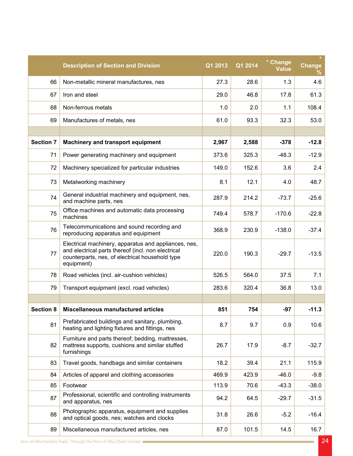|                  | <b>Description of Section and Division</b>                                                                                                                                  | Q1 2013 | Q1 2014 | * Change<br><b>Value</b> | <b>Change</b><br>℅ |
|------------------|-----------------------------------------------------------------------------------------------------------------------------------------------------------------------------|---------|---------|--------------------------|--------------------|
| 66               | Non-metallic mineral manufactures, nes                                                                                                                                      | 27.3    | 28.6    | 1.3                      | 4.6                |
| 67               | Iron and steel                                                                                                                                                              | 29.0    | 46.8    | 17.8                     | 61.3               |
| 68               | Non-ferrous metals                                                                                                                                                          | 1.0     | 2.0     | 1.1                      | 108.4              |
| 69               | Manufactures of metals, nes                                                                                                                                                 | 61.0    | 93.3    | 32.3                     | 53.0               |
|                  |                                                                                                                                                                             |         |         |                          |                    |
| <b>Section 7</b> | <b>Machinery and transport equipment</b>                                                                                                                                    | 2,967   | 2,588   | $-378$                   | $-12.8$            |
| 71               | Power generating machinery and equipment                                                                                                                                    | 373.6   | 325.3   | $-48.3$                  | $-12.9$            |
| 72               | Machinery specialized for particular industries                                                                                                                             | 149.0   | 152.6   | 3.6                      | 2.4                |
| 73               | Metalworking machinery                                                                                                                                                      | 8.1     | 12.1    | 4.0                      | 48.7               |
| 74               | General industrial machinery and equipment, nes,<br>and machine parts, nes                                                                                                  | 287.9   | 214.2   | $-73.7$                  | $-25.6$            |
| 75               | Office machines and automatic data processing<br>machines                                                                                                                   | 749.4   | 578.7   | $-170.6$                 | $-22.8$            |
| 76               | Telecommunications and sound recording and<br>reproducing apparatus and equipment                                                                                           | 368.9   | 230.9   | $-138.0$                 | $-37.4$            |
| 77               | Electrical machinery, apparatus and appliances, nes,<br>and electrical parts thereof (incl. non electrical<br>counterparts, nes, of electrical household type<br>equipment) | 220.0   | 190.3   | $-29.7$                  | $-13.5$            |
| 78               | Road vehicles (incl. air-cushion vehicles)                                                                                                                                  | 526.5   | 564.0   | 37.5                     | 7.1                |
| 79               | Transport equipment (excl. road vehicles)                                                                                                                                   | 283.6   | 320.4   | 36.8                     | 13.0               |
|                  |                                                                                                                                                                             |         |         |                          |                    |
| <b>Section 8</b> | <b>Miscellaneous manufactured articles</b>                                                                                                                                  | 851     | 754     | $-97$                    | $-11.3$            |
| 81               | Prefabricated buildings and sanitary, plumbing,<br>heating and lighting fixtures and fittings, nes                                                                          | 8.7     | 9.7     | 0.9                      | 10.6               |
| 82               | Furniture and parts thereof; bedding, mattresses,<br>mattress supports, cushions and similar stuffed<br>furnishings                                                         | 26.7    | 17.9    | $-8.7$                   | $-32.7$            |
| 83               | Travel goods, handbags and similar containers                                                                                                                               | 18.2    | 39.4    | 21.1                     | 115.9              |
| 84               | Articles of apparel and clothing accessories                                                                                                                                | 469.9   | 423.9   | $-46.0$                  | $-9.8$             |
| 85               | Footwear                                                                                                                                                                    | 113.9   | 70.6    | $-43.3$                  | $-38.0$            |
| 87               | Professional, scientific and controlling instruments<br>and apparatus, nes                                                                                                  | 94.2    | 64.5    | $-29.7$                  | $-31.5$            |
| 88               | Photographic apparatus, equipment and supplies<br>and optical goods, nes; watches and clocks                                                                                | 31.8    | 26.6    | $-5.2$                   | $-16.4$            |
| 89               | Miscellaneous manufactured articles, nes                                                                                                                                    | 87.0    | 101.5   | 14.5                     | 16.7               |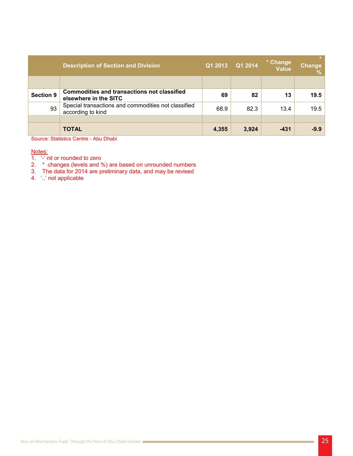|                  | <b>Description of Section and Division</b>                                  | Q1 2013 | Q1 2014 | * Change<br><b>Value</b> | Change<br>$\frac{1}{2}$ |
|------------------|-----------------------------------------------------------------------------|---------|---------|--------------------------|-------------------------|
|                  |                                                                             |         |         |                          |                         |
| <b>Section 9</b> | <b>Commodities and transactions not classified</b><br>elsewhere in the SITC | 69      | 82      | 13                       | 19.5                    |
| 93               | Special transactions and commodities not classified<br>according to kind    | 68.9    | 82.3    | 13.4                     | 19.5                    |
|                  |                                                                             |         |         |                          |                         |
|                  | <b>TOTAL</b>                                                                | 4,355   | 3,924   | $-431$                   | $-9.9$                  |

Source: Statistics Centre - Abu Dhabi

#### Notes:

- 1.  $\div$  nil or rounded to zero
- 2. \* changes (levels and %) are based on unrounded numbers
- 3. The data for 2014 are preliminary data, and may be revised
- 4. *'..'* not applicable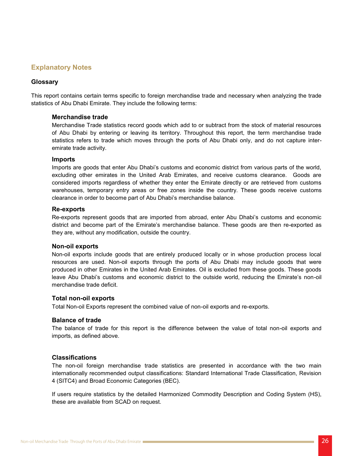## **Explanatory Notes**

#### **Glossary**

This report contains certain terms specific to foreign merchandise trade and necessary when analyzing the trade statistics of Abu Dhabi Emirate. They include the following terms:

#### **Merchandise trade**

Merchandise Trade statistics record goods which add to or subtract from the stock of material resources of Abu Dhabi by entering or leaving its territory. Throughout this report, the term merchandise trade statistics refers to trade which moves through the ports of Abu Dhabi only, and do not capture inter-<br>emirate trade activity.

#### **Imports**

Imports are goods that enter Abu Dhabi's customs and economic district from various parts of the world, excluding other emirates in the United Arab Emirates, and receive customs clearance. Goods are considered imports regardless of whether they enter the Emirate directly or are retrieved from customs warehouses, temporary entry areas or free zones inside the country. These goods receive customs clearance in order to become part of Abu Dhabi's merchandise balance.

#### **Re-exports**

Re-exports represent goods that are imported from abroad, enter Abu Dhabi's customs and economic district and become part of the Emirate's merchandise balance. These goods are then re-exported as they are, without any modification, outside the country.

#### **Non-oil exports**

Non-oil exports include goods that are entirely produced locally or in whose production process local resources are used. Non-oil exports through the ports of Abu Dhabi may include goods that were produced in other Emirates in the United Arab Emirates. Oil is excluded from these goods. These goods leave Abu Dhabi's customs and economic district to the outside world, reducing the Emirate's non-oil merchandise trade deficit.

#### **Total non-oil exports**

Total Non-oil Exports represent the combined value of non-oil exports and re-exports.

#### **Balance of trade**

The balance of trade for this report is the difference between the value of total non-oil exports and imports, as defined above.

#### **Classifications**

The non-oil foreign merchandise trade statistics are presented in accordance with the two main internationally recommended output classifications: Standard International Trade Classification, Revision 4 (SITC4) and Broad Economic Categories (BEC).

If users require statistics by the detailed Harmonized Commodity Description and Coding System (HS), these are available from SCAD on request.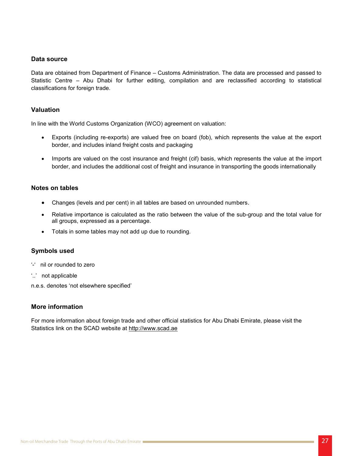#### Data source

Data are obtained from Department of Finance – Customs Administration. The data are processed and passed to Statistic Centre – Abu Dhabi for further editing, compilation and are reclassified according to statistical classifications for foreign trade.

#### **Valuation**

In line with the World Customs Organization (WCO) agreement on valuation:

- Exports (including re-exports) are valued free on board (fob), which represents the value at the export border, and includes inland freight costs and packaging
- Imports are valued on the cost insurance and freight (cif) basis, which represents the value at the import border, and includes the additional cost of freight and insurance in transporting the goods internationally

#### **Notes on tables**

- Changes (levels and per cent) in all tables are based on unrounded numbers.
- Relative importance is calculated as the ratio between the value of the sub-group and the total value for all groups, expressed as a percentage.
- Totals in some tables may not add up due to rounding.

#### **Symbols** used

- '-' nil or rounded to zero
- "..." not applicable

n.e.s. denotes 'not elsewhere specified'

#### **More information**

For more information about foreign trade and other official statistics for Abu Dhabi Emirate, please visit the Statistics link on the SCAD website at http://www.scad.ae